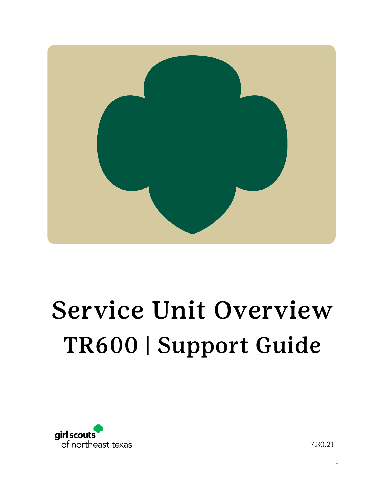

## Service Unit Overview TR600 | Support Guide



7.30.21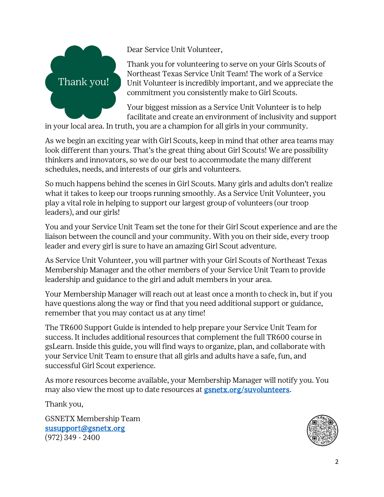

Dear Service Unit Volunteer,

Thank you for volunteering to serve on your Girls Scouts of Northeast Texas Service Unit Team! The work of a Service Unit Volunteer is incredibly important, and we appreciate the commitment you consistently make to Girl Scouts.

Your biggest mission as a Service Unit Volunteer is to help facilitate and create an environment of inclusivity and support

in your local area. In truth, you are a champion for all girls in your community.

As we begin an exciting year with Girl Scouts, keep in mind that other area teams may look different than yours. That's the great thing about Girl Scouts! We are possibility thinkers and innovators, so we do our best to accommodate the many different schedules, needs, and interests of our girls and volunteers.

So much happens behind the scenes in Girl Scouts. Many girls and adults don't realize what it takes to keep our troops running smoothly. As a Service Unit Volunteer, you play a vital role in helping to support our largest group of volunteers (our troop leaders), and our girls!

You and your Service Unit Team set the tone for their Girl Scout experience and are the liaison between the council and your community. With you on their side, every troop leader and every girl is sure to have an amazing Girl Scout adventure.

As Service Unit Volunteer, you will partner with your Girl Scouts of Northeast Texas Membership Manager and the other members of your Service Unit Team to provide leadership and guidance to the girl and adult members in your area.

Your Membership Manager will reach out at least once a month to check in, but if you have questions along the way or find that you need additional support or guidance, remember that you may contact us at any time!

The TR600 Support Guide is intended to help prepare your Service Unit Team for success. It includes additional resources that complement the full TR600 course in gsLearn. Inside this guide, you will find ways to organize, plan, and collaborate with your Service Unit Team to ensure that all girls and adults have a safe, fun, and successful Girl Scout experience.

As more resources become available, your Membership Manager will notify you. You may also view the most up to date resources at **[gsnetx.org/suvolunteers.](http://www.gsnetx.org/suvolunteers)** 

Thank you,

GSNETX Membership Team [susupport@gsnetx.org](mailto:susupport@gsnetx.org) (972) 349 - 2400

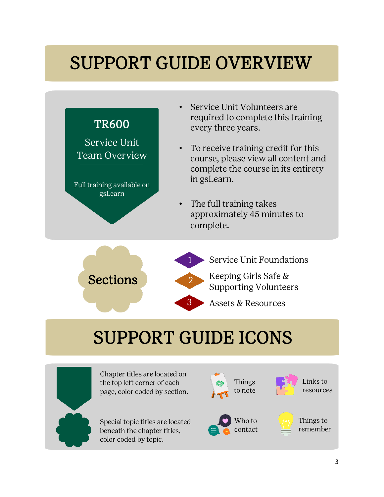### SUPPORT GUIDE OVERVIEW



Special topic titles are located beneath the chapter titles, color coded by topic.



Things to remember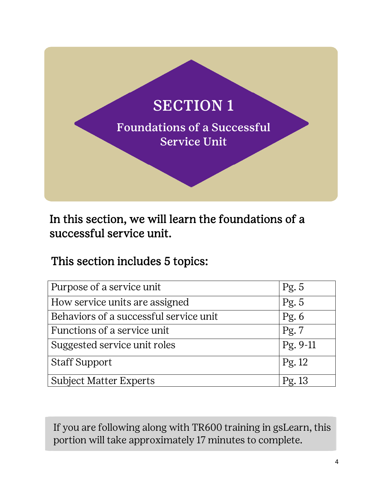

In this section, we will learn the foundations of a successful service unit.

This section includes 5 topics:

| Purpose of a service unit              | Pg. 5    |
|----------------------------------------|----------|
| How service units are assigned         | Pg. $5$  |
| Behaviors of a successful service unit | Pg. $6$  |
| Functions of a service unit            | Pg. 7    |
| Suggested service unit roles           | Pg. 9-11 |
| <b>Staff Support</b>                   | Pg. 12   |
| <b>Subject Matter Experts</b>          | Pg.13    |

If you are following along with TR600 training in gsLearn, this portion will take approximately 17 minutes to complete.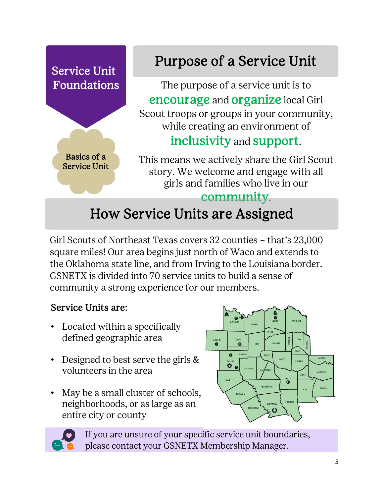

Girl Scouts of Northeast Texas covers 32 counties – that's 23,000 square miles! Our area begins just north of Waco and extends to the Oklahoma state line, and from Irving to the Louisiana border. GSNETX is divided into 70 service units to build a sense of community a strong experience for our members.

#### Service Units are:

- Located within a specifically defined geographic area
- Designed to best serve the girls & volunteers in the area
- May be a small cluster of schools, neighborhoods, or as large as an entire city or county





If you are unsure of your specific service unit boundaries, please contact your GSNETX Membership Manager.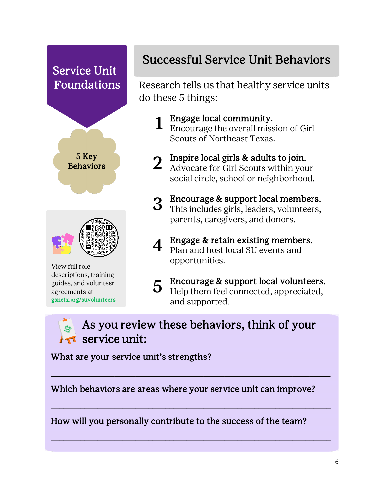# Service Unit Foundations 5 Key **Behaviors** View full role

descriptions, training guides, and volunteer agreements at [gsnetx.org/suvolunteers](http://www.gsnetx.org/suvolunteers) 

### Successful Service Unit Behaviors

Research tells us that healthy service units do these 5 things:

- 1 Engage local community. Encourage the overall mission of Girl Scouts of Northeast Texas.
- 2 Inspire local girls & adults to join.<br>2 Advocate for Girl Scouts within your
	- social circle, school or neighborhood.
- 3 Encourage & support local members. This includes girls, leaders, volunteers, parents, caregivers, and donors.
- $\boldsymbol{A}$  Engage & retain existing members. Plan and host local SU events and opportunities.
- 5 Encourage & support local volunteers. Help them feel connected, appreciated, and supported.

As you review these behaviors, think of your service unit:

What are your service unit's strengths?

Which behaviors are areas where your service unit can improve?

 $\overline{\phantom{a}}$  ,  $\overline{\phantom{a}}$  ,  $\overline{\phantom{a}}$  ,  $\overline{\phantom{a}}$  ,  $\overline{\phantom{a}}$  ,  $\overline{\phantom{a}}$  ,  $\overline{\phantom{a}}$  ,  $\overline{\phantom{a}}$  ,  $\overline{\phantom{a}}$  ,  $\overline{\phantom{a}}$  ,  $\overline{\phantom{a}}$  ,  $\overline{\phantom{a}}$  ,  $\overline{\phantom{a}}$  ,  $\overline{\phantom{a}}$  ,  $\overline{\phantom{a}}$  ,  $\overline{\phantom{a}}$ 

 $\overline{\phantom{a}}$  ,  $\overline{\phantom{a}}$  ,  $\overline{\phantom{a}}$  ,  $\overline{\phantom{a}}$  ,  $\overline{\phantom{a}}$  ,  $\overline{\phantom{a}}$  ,  $\overline{\phantom{a}}$  ,  $\overline{\phantom{a}}$  ,  $\overline{\phantom{a}}$  ,  $\overline{\phantom{a}}$  ,  $\overline{\phantom{a}}$  ,  $\overline{\phantom{a}}$  ,  $\overline{\phantom{a}}$  ,  $\overline{\phantom{a}}$  ,  $\overline{\phantom{a}}$  ,  $\overline{\phantom{a}}$ 

 $\overline{\phantom{a}}$  ,  $\overline{\phantom{a}}$  ,  $\overline{\phantom{a}}$  ,  $\overline{\phantom{a}}$  ,  $\overline{\phantom{a}}$  ,  $\overline{\phantom{a}}$  ,  $\overline{\phantom{a}}$  ,  $\overline{\phantom{a}}$  ,  $\overline{\phantom{a}}$  ,  $\overline{\phantom{a}}$  ,  $\overline{\phantom{a}}$  ,  $\overline{\phantom{a}}$  ,  $\overline{\phantom{a}}$  ,  $\overline{\phantom{a}}$  ,  $\overline{\phantom{a}}$  ,  $\overline{\phantom{a}}$ 

How will you personally contribute to the success of the team?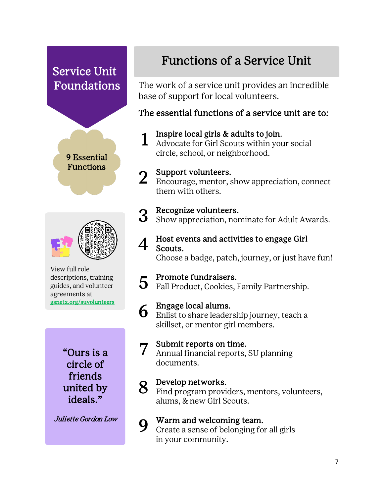



View full role descriptions, training guides, and volunteer agreements at [gsnetx.org/suvolunteers](http://www.gsnetx.org/suvolunteers) 

> "Ours is a circle of friends united by ideals."

Juliette Gordon Low

### Functions of a Service Unit

The work of a service unit provides an incredible base of support for local volunteers.

#### The essential functions of a service unit are to:

1 Inspire local girls & adults to join. Advocate for Girl Scouts within your social circle, school, or neighborhood.

2 Support volunteers.<br>2 Encourage, mentor, show appreciation, connect them with others.

3 Recognize volunteers. Show appreciation, nominate for Adult Awards.

#### **4** Host events and activities to engage Girl Scouts.

Choose a badge, patch, journey, or just have fun!

5 Promote fundraisers. Fall Product, Cookies, Family Partnership.

6 Engage local alums. Enlist to share leadership journey, teach a skillset, or mentor girl members.

7 Submit reports on time. Annual financial reports, SU planning documents.

8 Develop networks. Find program providers, mentors, volunteers, alums, & new Girl Scouts.

**9** Warm and welcoming team.<br>Create a sense of belonging for Create a sense of belonging for all girls in your community.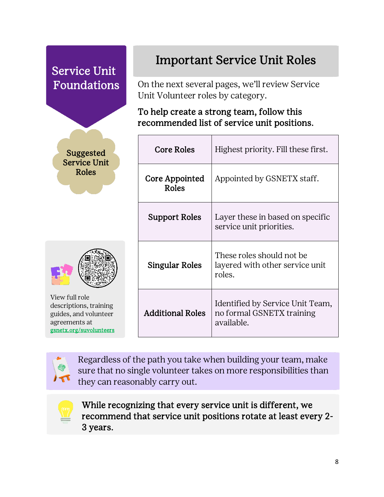



View full role descriptions, training guides, and volunteer agreements at [gsnetx.org/suvolunteers](http://www.gsnetx.org/suvolunteers) 

#### Important Service Unit Roles

On the next several pages, we'll review Service Unit Volunteer roles by category.

#### To help create a strong team, follow this recommended list of service unit positions.

| <b>Core Roles</b>       | Highest priority. Fill these first.                                         |
|-------------------------|-----------------------------------------------------------------------------|
| Core Appointed<br>Roles | Appointed by GSNETX staff.                                                  |
| <b>Support Roles</b>    | Layer these in based on specific<br>service unit priorities.                |
| Singular Roles          | These roles should not be<br>layered with other service unit<br>roles.      |
| <b>Additional Roles</b> | Identified by Service Unit Team,<br>no formal GSNETX training<br>available. |



Regardless of the path you take when building your team, make sure that no single volunteer takes on more responsibilities than they can reasonably carry out.



While recognizing that every service unit is different, we recommend that service unit positions rotate at least every 2- 3 years.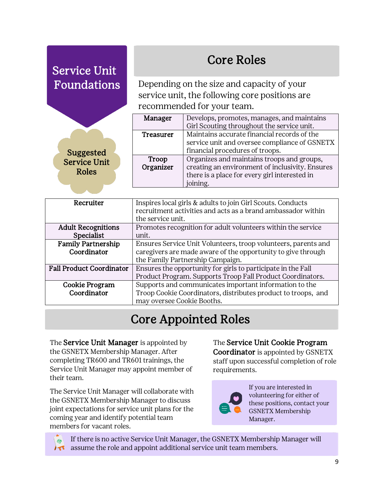$\overline{\phantom{a}}$ 

### Core Roles

Depending on the size and capacity of your service unit, the following core positions are recommended for your team.

| Manager          | Develops, promotes, manages, and maintains      |
|------------------|-------------------------------------------------|
|                  | Girl Scouting throughout the service unit.      |
| <b>Treasurer</b> | Maintains accurate financial records of the     |
|                  | service unit and oversee compliance of GSNETX   |
|                  | financial procedures of troops.                 |
| Troop            | Organizes and maintains troops and groups,      |
| Organizer        | creating an environment of inclusivity. Ensures |
|                  | there is a place for every girl interested in   |
|                  | ining.                                          |

Suggested Service Unit Roles

| Recruiter                       | Inspires local girls & adults to join Girl Scouts. Conducts<br>recruitment activities and acts as a brand ambassador within<br>the service unit. |
|---------------------------------|--------------------------------------------------------------------------------------------------------------------------------------------------|
| <b>Adult Recognitions</b>       | Promotes recognition for adult volunteers within the service                                                                                     |
| Specialist                      | unit.                                                                                                                                            |
| <b>Family Partnership</b>       | Ensures Service Unit Volunteers, troop volunteers, parents and                                                                                   |
| Coordinator                     | caregivers are made aware of the opportunity to give through                                                                                     |
|                                 | the Family Partnership Campaign.                                                                                                                 |
| <b>Fall Product Coordinator</b> | Ensures the opportunity for girls to participate in the Fall                                                                                     |
|                                 | Product Program. Supports Troop Fall Product Coordinators.                                                                                       |
| Cookie Program                  | Supports and communicates important information to the                                                                                           |
| Coordinator                     | Troop Cookie Coordinators, distributes product to troops, and                                                                                    |
|                                 | may oversee Cookie Booths.                                                                                                                       |

### Core Appointed Roles

The Service Unit Manager is appointed by the GSNETX Membership Manager. After completing TR600 and TR601 trainings, the Service Unit Manager may appoint member of their team.

The Service Unit Manager will collaborate with the GSNETX Membership Manager to discuss joint expectations for service unit plans for the coming year and identify potential team members for vacant roles.

The Service Unit Cookie Program Coordinator is appointed by GSNETX staff upon successful completion of role requirements.



If you are interested in volunteering for either of these positions, contact your GSNETX Membership Manager.

If there is no active Service Unit Manager, the GSNETX Membership Manager will assume the role and appoint additional service unit team members.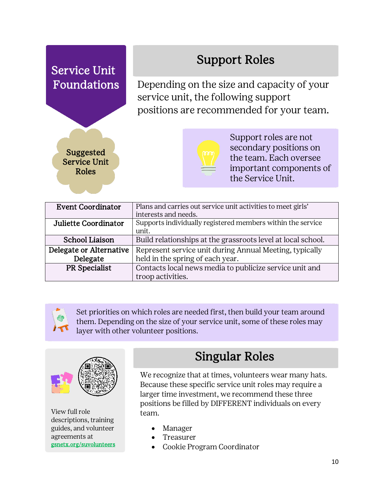#### Support Roles

Depending on the size and capacity of your service unit, the following support positions are recommended for your team.



Service Unit

Foundations



Support roles are not secondary positions on the team. Each oversee important components of the Service Unit.

| <b>Event Coordinator</b> | Plans and carries out service unit activities to meet girls' |
|--------------------------|--------------------------------------------------------------|
|                          | interests and needs.                                         |
| Juliette Coordinator     | Supports individually registered members within the service  |
|                          | unit.                                                        |
| <b>School Liaison</b>    | Build relationships at the grassroots level at local school. |
| Delegate or Alternative  | Represent service unit during Annual Meeting, typically      |
| Delegate                 | held in the spring of each year.                             |
| PR Specialist            | Contacts local news media to publicize service unit and      |
|                          | troop activities.                                            |



Set priorities on which roles are needed first, then build your team around them. Depending on the size of your service unit, some of these roles may layer with other volunteer positions.



View full role descriptions, training guides, and volunteer agreements at [gsnetx.org/suvolunteers](http://www.gsnetx.org/suvolunteers) 

#### Singular Roles

We recognize that at times, volunteers wear many hats. Because these specific service unit roles may require a larger time investment, we recommend these three positions be filled by DIFFERENT individuals on every team.

- **Manager**
- **Treasurer**
- Cookie Program Coordinator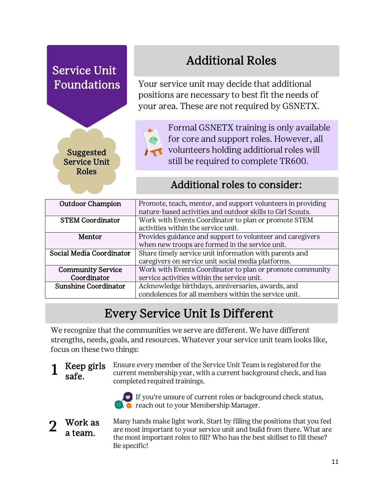> Suggested Service Unit Roles

### Additional Roles

Your service unit may decide that additional positions are necessary to best fit the needs of your area. These are not required by GSNETX.



Formal GSNETX training is only available for core and support roles. However, all volunteers holding additional roles will still be required to complete TR600.

#### Additional roles to consider:

| <b>Outdoor Champion</b>     | Promote, teach, mentor, and support volunteers in providing |
|-----------------------------|-------------------------------------------------------------|
|                             | nature-based activities and outdoor skills to Girl Scouts.  |
| <b>STEM Coordinator</b>     | Work with Events Coordinator to plan or promote STEM        |
|                             | activities within the service unit.                         |
| Mentor                      | Provides guidance and support to volunteer and caregivers   |
|                             | when new troops are formed in the service unit.             |
| Social Media Coordinator    | Share timely service unit information with parents and      |
|                             | caregivers on service unit social media platforms.          |
| <b>Community Service</b>    | Work with Events Coordinator to plan or promote community   |
| Coordinator                 | service activities within the service unit.                 |
| <b>Sunshine Coordinator</b> | Acknowledge birthdays, anniversaries, awards, and           |
|                             | condolences for all members within the service unit.        |

### Every Service Unit Is Different

We recognize that the communities we serve are different. We have different strengths, needs, goals, and resources. Whatever your service unit team looks like, focus on these two things:

1 Keep girls safe.

Ensure every member of the Service Unit Team is registered for the current membership year, with a current background check, and has completed required trainings.



#### Work as a team.

Many hands make light work. Start by filling the positions that you feel are most important to your service unit and build from there. What are the most important roles to fill? Who has the best skillset to fill these? Be specific!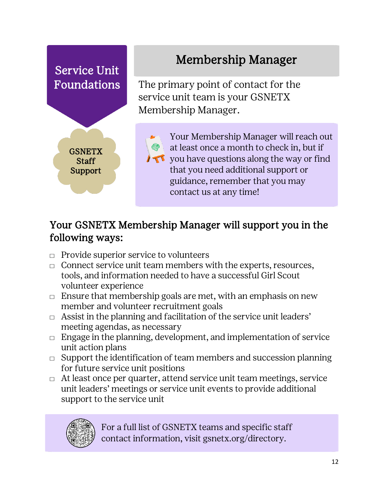

#### Your GSNETX Membership Manager will support you in the following ways:

- $\Box$  Provide superior service to volunteers
- $\Box$  Connect service unit team members with the experts, resources, tools, and information needed to have a successful Girl Scout volunteer experience
- $\Box$  Ensure that membership goals are met, with an emphasis on new member and volunteer recruitment goals
- $\Box$  Assist in the planning and facilitation of the service unit leaders' meeting agendas, as necessary
- $\Box$  Engage in the planning, development, and implementation of service unit action plans
- $\Box$  Support the identification of team members and succession planning for future service unit positions
- $\Box$  At least once per quarter, attend service unit team meetings, service unit leaders' meetings or service unit events to provide additional support to the service unit



For a full list of GSNETX teams and specific staff contact information, visit gsnetx.org/directory.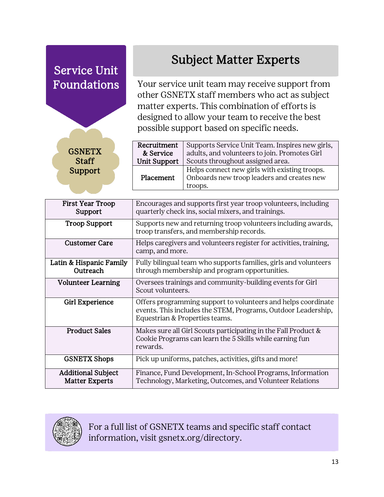Recruitment & Service Unit Support Supports Service Unit Team. Inspires new girls, adults, and volunteers to join. Promotes Girl Scouts throughout assigned area. Placement Helps connect new girls with existing troops. Onboards new troop leaders and creates new troops. First Year Troop Support Encourages and supports first year troop volunteers, including quarterly check ins, social mixers, and trainings. **Troop Support** Supports new and returning troop volunteers including awards, troop transfers, and membership records. Customer Care Helps caregivers and volunteers register for activities, training, camp, and more. Latin & Hispanic Family **Outreach** Fully bilingual team who supports families, girls and volunteers through membership and program opportunities. Volunteer Learning | Oversees trainings and community-building events for Girl Scout volunteers. Girl Experience  $\Box$  Offers programming support to volunteers and helps coordinate events. This includes the STEM, Programs, Outdoor Leadership, Equestrian & Properties teams. **Product Sales** Makes sure all Girl Scouts participating in the Fall Product  $\&$ Cookie Programs can learn the 5 Skills while earning fun rewards. GSNETX Shops | Pick up uniforms, patches, activities, gifts and more! Additional Subject Matter Experts Finance, Fund Development, In-School Programs, Information Technology, Marketing, Outcomes, and Volunteer Relations Service Unit Foundations **GSNETX Staff** Support Subject Matter Experts Your service unit team may receive support from other GSNETX staff members who act as subject matter experts. This combination of efforts is designed to allow your team to receive the best possible support based on specific needs.



For a full list of GSNETX teams and specific staff contact information, visit gsnetx.org/directory.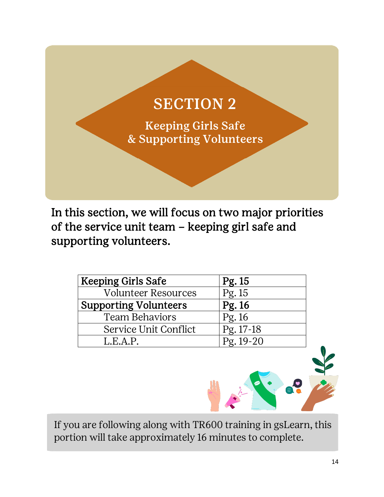### SECTION 2

Keeping Girls Safe & Supporting Volunteers

In this section, we will focus on two major priorities of the service unit team – keeping girl safe and supporting volunteers.

| <b>Keeping Girls Safe</b>    | Pg. 15      |
|------------------------------|-------------|
| <b>Volunteer Resources</b>   | Pg.15       |
| <b>Supporting Volunteers</b> | Pg. 16      |
| <b>Team Behaviors</b>        | Pg. 16      |
| Service Unit Conflict        | Pg. 17-18   |
| L.E.A.P.                     | $Pg. 19-20$ |

If you are following along with TR600 training in gsLearn, this portion will take approximately 16 minutes to complete.

 $\bullet$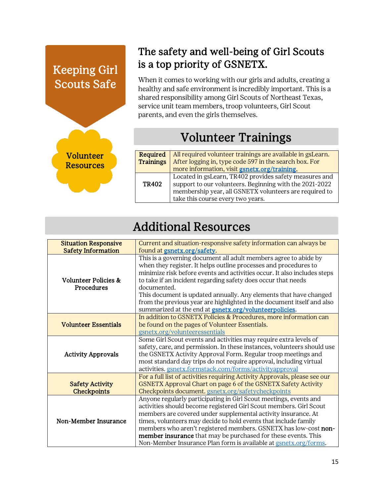#### Keeping Girl Scouts Safe

Volunteer **Resources** 



When it comes to working with our girls and adults, creating a healthy and safe environment is incredibly important. This is a shared responsibility among Girl Scouts of Northeast Texas, service unit team members, troop volunteers, Girl Scout parents, and even the girls themselves.

#### Volunteer Trainings

| Required     | All required volunteer trainings are available in gsLearn. |
|--------------|------------------------------------------------------------|
| Trainings    | After logging in, type code 597 in the search box. For     |
|              | more information, visit gsnetx.org/training.               |
|              | Located in gsLearn, TR402 provides safety measures and     |
| <b>TR402</b> | support to our volunteers. Beginning with the 2021-2022    |
|              | membership year, all GSNETX volunteers are required to     |
|              | take this course every two years.                          |

#### Additional Resources

| <b>Situation Responsive</b>                  | Current and situation-responsive safety information can always be                                                                                                                                                                                                                                                                                                                                                                                                                                                 |
|----------------------------------------------|-------------------------------------------------------------------------------------------------------------------------------------------------------------------------------------------------------------------------------------------------------------------------------------------------------------------------------------------------------------------------------------------------------------------------------------------------------------------------------------------------------------------|
| <b>Safety Information</b>                    | found at <b>gsnetx.org/safety</b> .                                                                                                                                                                                                                                                                                                                                                                                                                                                                               |
| Volunteer Policies &<br><b>Procedures</b>    | This is a governing document all adult members agree to abide by<br>when they register. It helps outline processes and procedures to<br>minimize risk before events and activities occur. It also includes steps<br>to take if an incident regarding safety does occur that needs<br>documented.<br>This document is updated annually. Any elements that have changed<br>from the previous year are highlighted in the document itself and also<br>summarized at the end at <b>gsnetx.org/volunteerpolicies</b> . |
| <b>Volunteer Essentials</b>                  | In addition to GSNETX Policies & Procedures, more information can<br>be found on the pages of Volunteer Essentials.<br>gsnetx.org/volunteeressentials                                                                                                                                                                                                                                                                                                                                                             |
| <b>Activity Approvals</b>                    | Some Girl Scout events and activities may require extra levels of<br>safety, care, and permission. In these instances, volunteers should use<br>the GSNETX Activity Approval Form. Regular troop meetings and<br>most standard day trips do not require approval, including virtual<br>activities.gsnetx.formstack.com/forms/activityapproval                                                                                                                                                                     |
| <b>Safety Activity</b><br><b>Checkpoints</b> | For a full list of activities requiring Activity Approvals, please see our<br>GSNETX Approval Chart on page 6 of the GSNETX Safety Activity<br>Checkpoints document. gsnetx.org/safetycheckpoints                                                                                                                                                                                                                                                                                                                 |
| Non-Member Insurance                         | Anyone regularly participating in Girl Scout meetings, events and<br>activities should become registered Girl Scout members. Girl Scout<br>members are covered under supplemental activity insurance. At<br>times, volunteers may decide to hold events that include family<br>members who aren't registered members. GSNETX has low-cost non-<br>member insurance that may be purchased for these events. This<br>Non-Member Insurance Plan form is available at gsnetx.org/forms.                               |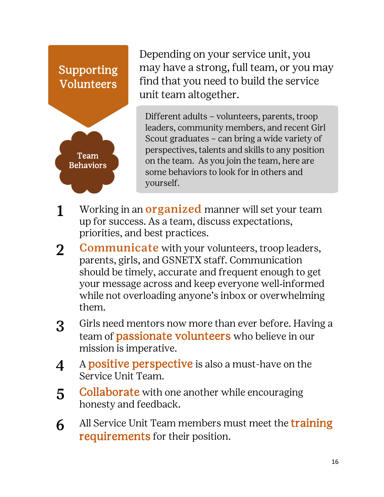### Supporting Volunteers



Depending on your service unit, you may have a strong, full team, or you may find that you need to build the service unit team altogether.

Different adults – volunteers, parents, troop leaders, community members, and recent Girl Scout graduates – can bring a wide variety of perspectives, talents and skills to any position on the team. As you join the team, here are some behaviors to look for in others and yourself.

- 1 Working in an **organized** manner will set your team up for success. As a team, discuss expectations, priorities, and best practices.
- 2 Communicate with your volunteers, troop leaders, parents, girls, and GSNETX staff. Communication should be timely, accurate and frequent enough to get your message across and keep everyone well‐informed while not overloading anyone's inbox or overwhelming them.
- 3 Girls need mentors now more than ever before. Having a team of **passionate volunteers** who believe in our mission is imperative.
- 4 A positive perspective is also a must-have on the Service Unit Team.
- **5** Collaborate with one another while encouraging honesty and feedback.
- 6 All Service Unit Team members must meet the **training** requirements for their position.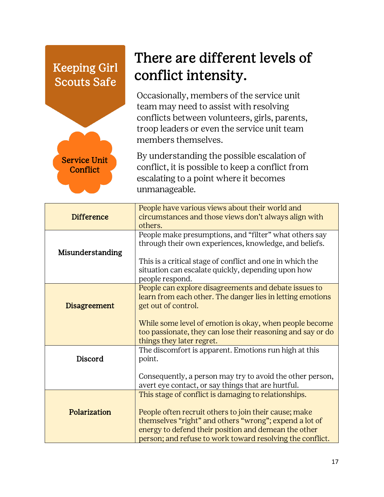#### Keeping Girl Scouts Safe



### There are different levels of conflict intensity.

Occasionally, members of the service unit team may need to assist with resolving conflicts between volunteers, girls, parents, troop leaders or even the service unit team members themselves.

By understanding the possible escalation of conflict, it is possible to keep a conflict from escalating to a point where it becomes unmanageable.

| <b>Difference</b>   | People have various views about their world and<br>circumstances and those views don't always align with<br>others.                                                                                                                  |
|---------------------|--------------------------------------------------------------------------------------------------------------------------------------------------------------------------------------------------------------------------------------|
| Misunderstanding    | People make presumptions, and "filter" what others say<br>through their own experiences, knowledge, and beliefs.<br>This is a critical stage of conflict and one in which the<br>situation can escalate quickly, depending upon how  |
|                     | people respond.                                                                                                                                                                                                                      |
| <b>Disagreement</b> | People can explore disagreements and debate issues to<br>learn from each other. The danger lies in letting emotions<br>get out of control.                                                                                           |
|                     | While some level of emotion is okay, when people become<br>too passionate, they can lose their reasoning and say or do<br>things they later regret.                                                                                  |
| Discord             | The discomfort is apparent. Emotions run high at this<br>point.                                                                                                                                                                      |
|                     | Consequently, a person may try to avoid the other person,<br>avert eye contact, or say things that are hurtful.                                                                                                                      |
|                     | This stage of conflict is damaging to relationships.                                                                                                                                                                                 |
| Polarization        | People often recruit others to join their cause; make<br>themselves "right" and others "wrong"; expend a lot of<br>energy to defend their position and demean the other<br>person; and refuse to work toward resolving the conflict. |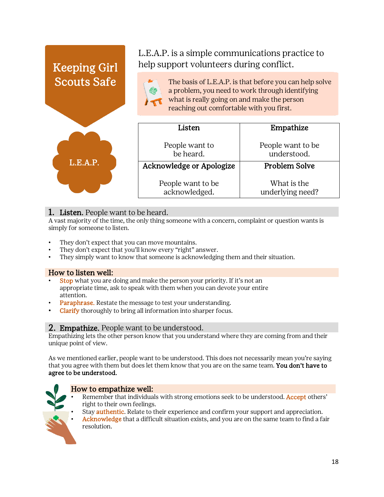

#### 1. Listen. People want to be heard.

A vast majority of the time, the only thing someone with a concern, complaint or question wants is simply for someone to listen.

- They don't expect that you can move mountains.
- They don't expect that you'll know every "right" answer.
- They simply want to know that someone is acknowledging them and their situation.

#### How to listen well:

- **Stop** what you are doing and make the person your priority. If it's not an appropriate time, ask to speak with them when you can devote your entire attention.
- Paraphrase. Restate the message to test your understanding.
- Clarify thoroughly to bring all information into sharper focus.

#### 2. Empathize. People want to be understood.

Empathizing lets the other person know that you understand where they are coming from and their unique point of view.

As we mentioned earlier, people want to be understood. This does not necessarily mean you're saying that you agree with them but does let them know that you are on the same team. You don't have to agree to be understood.



#### How to empathize well:

- Remember that individuals with strong emotions seek to be understood. Accept others' right to their own feelings.
- Stay **authentic**. Relate to their experience and confirm your support and appreciation.
- Acknowledge that a difficult situation exists, and you are on the same team to find a fair resolution.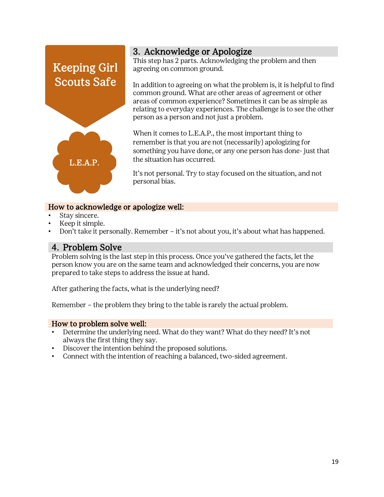

**3. Acknowledge or Apologize**<br>This step has 2 parts. Acknowledging the problem and then agreeing on common ground.

In addition to agreeing on what the problem is, it is helpful to find common ground. What are other areas of agreement or other areas of common experience? Sometimes it can be as simple as relating to everyday experiences. The challenge is to see the other person as a person and not just a problem.

When it comes to L.E.A.P., the most important thing to remember is that you are not (necessarily) apologizing for something you have done, or any one person has done- just that the situation has occurred.

It's not personal. Try to stay focused on the situation, and not personal bias.

#### How to acknowledge or apologize well:

- Stay sincere.
- Keep it simple.
- Don't take it personally. Remember it's not about you, it's about what has happened.

4. Problem Solve<br>Problem solving is the last step in this process. Once you've gathered the facts, let the person know you are on the same team and acknowledged their concerns, you are now prepared to take steps to address the issue at hand.

After gathering the facts, what is the underlying need?

Remember – the problem they bring to the table is rarely the actual problem.

#### How to problem solve well:

- Determine the underlying need. What do they want? What do they need? It's not always the first thing they say.
- Discover the intention behind the proposed solutions.
- Connect with the intention of reaching a balanced, two-sided agreement.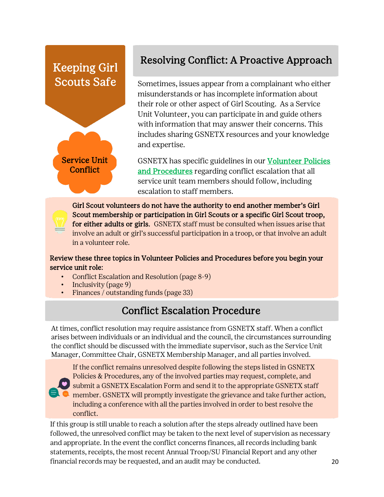#### Keeping Girl Scouts Safe



#### Resolving Conflict: A Proactive Approach

Sometimes, issues appear from a complainant who either misunderstands or has incomplete information about their role or other aspect of Girl Scouting. As a Service Unit Volunteer, you can participate in and guide others with information that may answer their concerns. This includes sharing GSNETX resources and your knowledge and expertise.

GSNETX has specific guidelines in our **Volunteer Policies** [and Procedures r](http://www.gsnetx.org/volunteerpolicies)egarding conflict escalation that all service unit team members should follow, including escalation to staff members.

Girl Scout volunteers do not have the authority to end another member's Girl Scout membership or participation in Girl Scouts or a specific Girl Scout troop, for either adults or girls. GSNETX staff must be consulted when issues arise that involve an adult or girl's successful participation in a troop, or that involve an adult in a volunteer role.

#### Review these three topics in Volunteer Policies and Procedures before you begin your service unit role:

- Conflict Escalation and Resolution (page 8-9)
- Inclusivity (page 9)
- Finances / outstanding funds (page 33)

#### Conflict Escalation Procedure

At times, conflict resolution may require assistance from GSNETX staff. When a conflict arises between individuals or an individual and the council, the circumstances surrounding the conflict should be discussed with the immediate supervisor, such as the Service Unit Manager, Committee Chair, GSNETX Membership Manager, and all parties involved.



If the conflict remains unresolved despite following the steps listed in GSNETX Policies & Procedures, any of the involved parties may request, complete, and submit a GSNETX Escalation Form and send it to the appropriate GSNETX staff member. GSNETX will promptly investigate the grievance and take further action, including a conference with all the parties involved in order to best resolve the conflict.

If this group is still unable to reach a solution after the steps already outlined have been followed, the unresolved conflict may be taken to the next level of supervision as necessary and appropriate. In the event the conflict concerns finances, all records including bank statements, receipts, the most recent Annual Troop/SU Financial Report and any other financial records may be requested, and an audit may be conducted.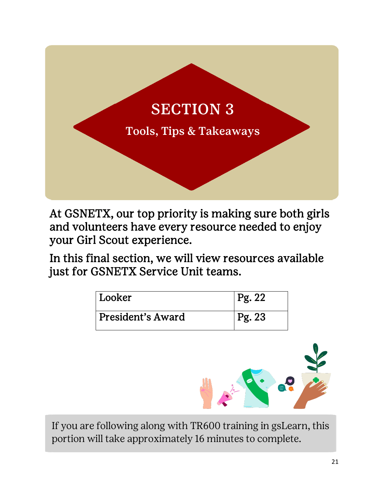

At GSNETX, our top priority is making sure both girls and volunteers have every resource needed to enjoy your Girl Scout experience.

In this final section, we will view resources available just for GSNETX Service Unit teams.

| ' Looker          | Pg. 22     |
|-------------------|------------|
| President's Award | $ $ Pg. 23 |



If you are following along with TR600 training in gsLearn, this portion will take approximately 16 minutes to complete.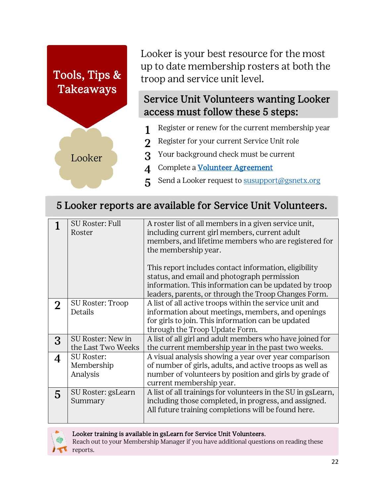# Tools, Tips & Takeaways

Looker

Looker is your best resource for the most up to date membership rosters at both the troop and service unit level.

#### Service Unit Volunteers wanting Looker access must follow these 5 steps:

- 1 Register or renew for the current membership year
- 2 Register for your current Service Unit role
- 3 Your background check must be current
- 4 Complete a [Volunteer Agreement](http://www.gsnetx.org/volunteeragreement)
- 5 Send a Looker request to **susupport@gsnetx.org**

#### 5 Looker reports are available for Service Unit Volunteers.

|   | <b>SU Roster: Full</b><br>Roster            | A roster list of all members in a given service unit,<br>including current girl members, current adult<br>members, and lifetime members who are registered for<br>the membership year.<br>This report includes contact information, eligibility<br>status, and email and photograph permission<br>information. This information can be updated by troop<br>leaders, parents, or through the Troop Changes Form. |
|---|---------------------------------------------|-----------------------------------------------------------------------------------------------------------------------------------------------------------------------------------------------------------------------------------------------------------------------------------------------------------------------------------------------------------------------------------------------------------------|
|   | SU Roster: Troop<br>Details                 | A list of all active troops within the service unit and<br>information about meetings, members, and openings<br>for girls to join. This information can be updated<br>through the Troop Update Form.                                                                                                                                                                                                            |
| 3 | SU Roster: New in<br>the Last Two Weeks     | A list of all girl and adult members who have joined for<br>the current membership year in the past two weeks.                                                                                                                                                                                                                                                                                                  |
|   | <b>SU Roster:</b><br>Membership<br>Analysis | A visual analysis showing a year over year comparison<br>of number of girls, adults, and active troops as well as<br>number of volunteers by position and girls by grade of<br>current membership year.                                                                                                                                                                                                         |
| 5 | SU Roster: gsLearn<br>Summary               | A list of all trainings for volunteers in the SU in gsLearn,<br>including those completed, in progress, and assigned.<br>All future training completions will be found here.                                                                                                                                                                                                                                    |



#### Looker training is available in gsLearn for Service Unit Volunteers.

Reach out to your Membership Manager if you have additional questions on reading these reports.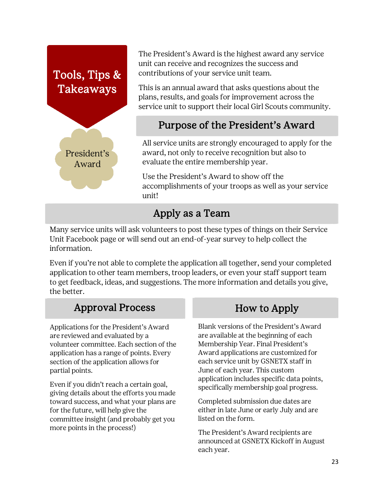## Tools, Tips & Takeaways President's Award

The President's Award is the highest award any service unit can receive and recognizes the success and contributions of your service unit team.

This is an annual award that asks questions about the plans, results, and goals for improvement across the service unit to support their local Girl Scouts community.

#### Purpose of the President's Award

All service units are strongly encouraged to apply for the award, not only to receive recognition but also to evaluate the entire membership year.

Use the President's Award to show off the accomplishments of your troops as well as your service unit!

#### Apply as a Team

Many service units will ask volunteers to post these types of things on their Service Unit Facebook page or will send out an end-of-year survey to help collect the information.

Even if you're not able to complete the application all together, send your completed application to other team members, troop leaders, or even your staff support team to get feedback, ideas, and suggestions. The more information and details you give, the better.

#### Approval Process How to Apply

Applications for the President's Award are reviewed and evaluated by a volunteer committee. Each section of the application has a range of points. Every section of the application allows for partial points.

Even if you didn't reach a certain goal, giving details about the efforts you made toward success, and what your plans are for the future, will help give the committee insight (and probably get you more points in the process!)

Blank versions of the President's Award are available at the beginning of each Membership Year. Final President's Award applications are customized for each service unit by GSNETX staff in June of each year. This custom application includes specific data points, specifically membership goal progress.

Completed submission due dates are either in late June or early July and are listed on the form.

The President's Award recipients are announced at GSNETX Kickoff in August each year.